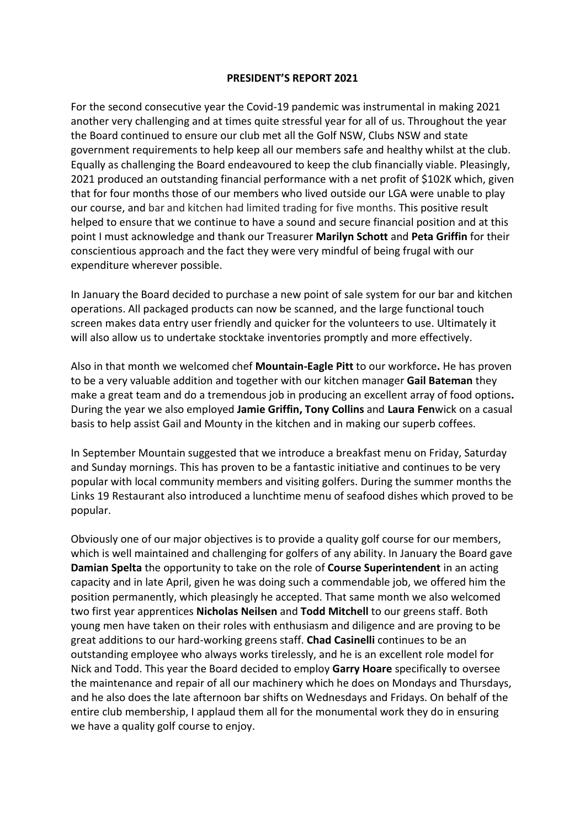## **PRESIDENT'S REPORT 2021**

For the second consecutive year the Covid-19 pandemic was instrumental in making 2021 another very challenging and at times quite stressful year for all of us. Throughout the year the Board continued to ensure our club met all the Golf NSW, Clubs NSW and state government requirements to help keep all our members safe and healthy whilst at the club. Equally as challenging the Board endeavoured to keep the club financially viable. Pleasingly, 2021 produced an outstanding financial performance with a net profit of \$102K which, given that for four months those of our members who lived outside our LGA were unable to play our course, and bar and kitchen had limited trading for five months. This positive result helped to ensure that we continue to have a sound and secure financial position and at this point I must acknowledge and thank our Treasurer **Marilyn Schott** and **Peta Griffin** for their conscientious approach and the fact they were very mindful of being frugal with our expenditure wherever possible.

In January the Board decided to purchase a new point of sale system for our bar and kitchen operations. All packaged products can now be scanned, and the large functional touch screen makes data entry user friendly and quicker for the volunteers to use. Ultimately it will also allow us to undertake stocktake inventories promptly and more effectively.

Also in that month we welcomed chef **Mountain-Eagle Pitt** to our workforce**.** He has proven to be a very valuable addition and together with our kitchen manager **Gail Bateman** they make a great team and do a tremendous job in producing an excellent array of food options**.**  During the year we also employed **Jamie Griffin, Tony Collins** and **Laura Fen**wick on a casual basis to help assist Gail and Mounty in the kitchen and in making our superb coffees.

In September Mountain suggested that we introduce a breakfast menu on Friday, Saturday and Sunday mornings. This has proven to be a fantastic initiative and continues to be very popular with local community members and visiting golfers. During the summer months the Links 19 Restaurant also introduced a lunchtime menu of seafood dishes which proved to be popular.

Obviously one of our major objectives is to provide a quality golf course for our members, which is well maintained and challenging for golfers of any ability. In January the Board gave **Damian Spelta** the opportunity to take on the role of **Course Superintendent** in an acting capacity and in late April, given he was doing such a commendable job, we offered him the position permanently, which pleasingly he accepted. That same month we also welcomed two first year apprentices **Nicholas Neilsen** and **Todd Mitchell** to our greens staff. Both young men have taken on their roles with enthusiasm and diligence and are proving to be great additions to our hard-working greens staff. **Chad Casinelli** continues to be an outstanding employee who always works tirelessly, and he is an excellent role model for Nick and Todd. This year the Board decided to employ **Garry Hoare** specifically to oversee the maintenance and repair of all our machinery which he does on Mondays and Thursdays, and he also does the late afternoon bar shifts on Wednesdays and Fridays. On behalf of the entire club membership, I applaud them all for the monumental work they do in ensuring we have a quality golf course to enjoy.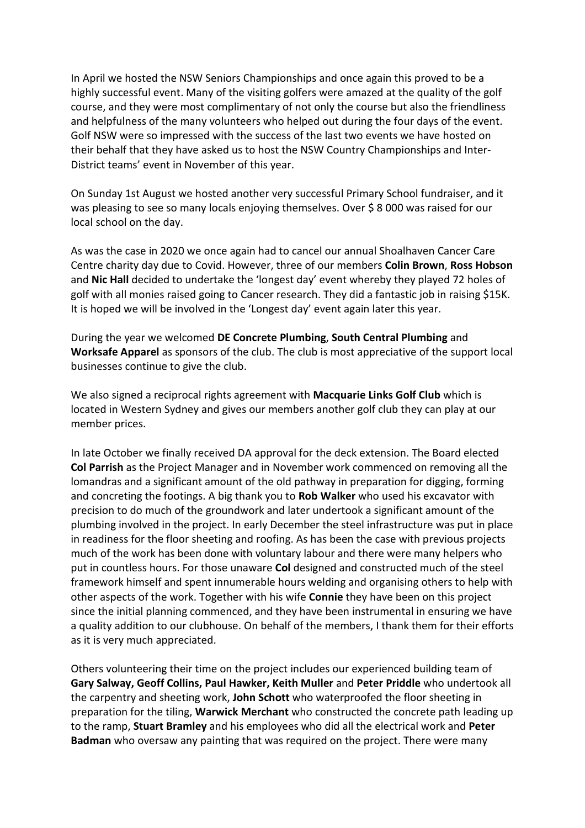In April we hosted the NSW Seniors Championships and once again this proved to be a highly successful event. Many of the visiting golfers were amazed at the quality of the golf course, and they were most complimentary of not only the course but also the friendliness and helpfulness of the many volunteers who helped out during the four days of the event. Golf NSW were so impressed with the success of the last two events we have hosted on their behalf that they have asked us to host the NSW Country Championships and Inter-District teams' event in November of this year.

On Sunday 1st August we hosted another very successful Primary School fundraiser, and it was pleasing to see so many locals enjoying themselves. Over \$8000 was raised for our local school on the day.

As was the case in 2020 we once again had to cancel our annual Shoalhaven Cancer Care Centre charity day due to Covid. However, three of our members **Colin Brown**, **Ross Hobson** and **Nic Hall** decided to undertake the 'longest day' event whereby they played 72 holes of golf with all monies raised going to Cancer research. They did a fantastic job in raising \$15K. It is hoped we will be involved in the 'Longest day' event again later this year.

During the year we welcomed **DE Concrete Plumbing**, **South Central Plumbing** and **Worksafe Apparel** as sponsors of the club. The club is most appreciative of the support local businesses continue to give the club.

We also signed a reciprocal rights agreement with **Macquarie Links Golf Club** which is located in Western Sydney and gives our members another golf club they can play at our member prices.

In late October we finally received DA approval for the deck extension. The Board elected **Col Parrish** as the Project Manager and in November work commenced on removing all the lomandras and a significant amount of the old pathway in preparation for digging, forming and concreting the footings. A big thank you to **Rob Walker** who used his excavator with precision to do much of the groundwork and later undertook a significant amount of the plumbing involved in the project. In early December the steel infrastructure was put in place in readiness for the floor sheeting and roofing. As has been the case with previous projects much of the work has been done with voluntary labour and there were many helpers who put in countless hours. For those unaware **Col** designed and constructed much of the steel framework himself and spent innumerable hours welding and organising others to help with other aspects of the work. Together with his wife **Connie** they have been on this project since the initial planning commenced, and they have been instrumental in ensuring we have a quality addition to our clubhouse. On behalf of the members, I thank them for their efforts as it is very much appreciated.

Others volunteering their time on the project includes our experienced building team of **Gary Salway, Geoff Collins, Paul Hawker, Keith Muller** and **Peter Priddle** who undertook all the carpentry and sheeting work, **John Schott** who waterproofed the floor sheeting in preparation for the tiling, **Warwick Merchant** who constructed the concrete path leading up to the ramp, **Stuart Bramley** and his employees who did all the electrical work and **Peter Badman** who oversaw any painting that was required on the project. There were many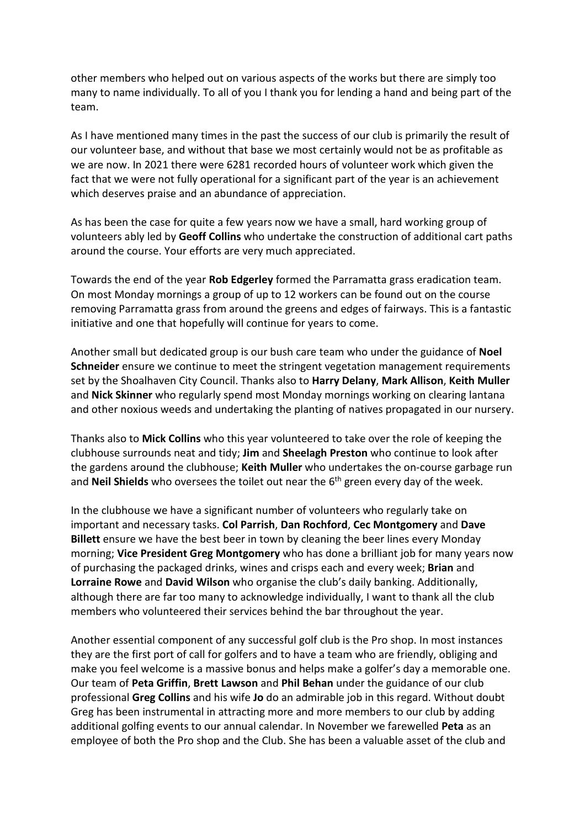other members who helped out on various aspects of the works but there are simply too many to name individually. To all of you I thank you for lending a hand and being part of the team.

As I have mentioned many times in the past the success of our club is primarily the result of our volunteer base, and without that base we most certainly would not be as profitable as we are now. In 2021 there were 6281 recorded hours of volunteer work which given the fact that we were not fully operational for a significant part of the year is an achievement which deserves praise and an abundance of appreciation.

As has been the case for quite a few years now we have a small, hard working group of volunteers ably led by **Geoff Collins** who undertake the construction of additional cart paths around the course. Your efforts are very much appreciated.

Towards the end of the year **Rob Edgerley** formed the Parramatta grass eradication team. On most Monday mornings a group of up to 12 workers can be found out on the course removing Parramatta grass from around the greens and edges of fairways. This is a fantastic initiative and one that hopefully will continue for years to come.

Another small but dedicated group is our bush care team who under the guidance of **Noel Schneider** ensure we continue to meet the stringent vegetation management requirements set by the Shoalhaven City Council. Thanks also to **Harry Delany**, **Mark Allison**, **Keith Muller** and **Nick Skinner** who regularly spend most Monday mornings working on clearing lantana and other noxious weeds and undertaking the planting of natives propagated in our nursery.

Thanks also to **Mick Collins** who this year volunteered to take over the role of keeping the clubhouse surrounds neat and tidy; **Jim** and **Sheelagh Preston** who continue to look after the gardens around the clubhouse; **Keith Muller** who undertakes the on-course garbage run and **Neil Shields** who oversees the toilet out near the 6<sup>th</sup> green every day of the week.

In the clubhouse we have a significant number of volunteers who regularly take on important and necessary tasks. **Col Parrish**, **Dan Rochford**, **Cec Montgomery** and **Dave Billett** ensure we have the best beer in town by cleaning the beer lines every Monday morning; **Vice President Greg Montgomery** who has done a brilliant job for many years now of purchasing the packaged drinks, wines and crisps each and every week; **Brian** and **Lorraine Rowe** and **David Wilson** who organise the club's daily banking. Additionally, although there are far too many to acknowledge individually, I want to thank all the club members who volunteered their services behind the bar throughout the year.

Another essential component of any successful golf club is the Pro shop. In most instances they are the first port of call for golfers and to have a team who are friendly, obliging and make you feel welcome is a massive bonus and helps make a golfer's day a memorable one. Our team of **Peta Griffin**, **Brett Lawson** and **Phil Behan** under the guidance of our club professional **Greg Collins** and his wife **Jo** do an admirable job in this regard. Without doubt Greg has been instrumental in attracting more and more members to our club by adding additional golfing events to our annual calendar. In November we farewelled **Peta** as an employee of both the Pro shop and the Club. She has been a valuable asset of the club and